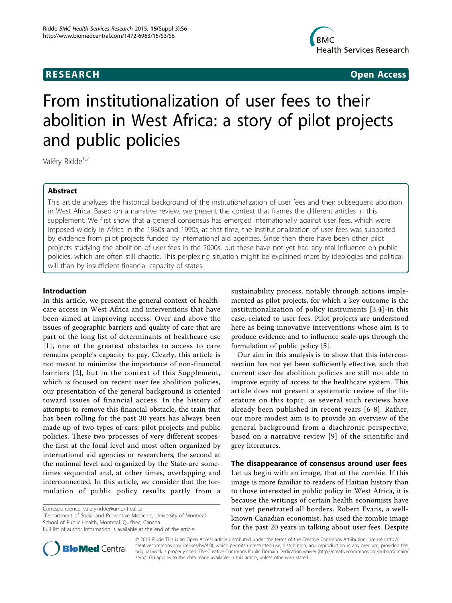

**RESEARCH CONSTRUCTION CONSTRUCTS** 

# From institutionalization of user fees to their abolition in West Africa: a story of pilot projects and public policies

Valéry Ridde<sup>1,2</sup>

# Abstract

This article analyzes the historical background of the institutionalization of user fees and their subsequent abolition in West Africa. Based on a narrative review, we present the context that frames the different articles in this supplement. We first show that a general consensus has emerged internationally against user fees, which were imposed widely in Africa in the 1980s and 1990s; at that time, the institutionalization of user fees was supported by evidence from pilot projects funded by international aid agencies. Since then there have been other pilot projects studying the abolition of user fees in the 2000s, but these have not yet had any real influence on public policies, which are often still chaotic. This perplexing situation might be explained more by ideologies and political will than by insufficient financial capacity of states.

# Introduction

In this article, we present the general context of healthcare access in West Africa and interventions that have been aimed at improving access. Over and above the issues of geographic barriers and quality of care that are part of the long list of determinants of healthcare use [[1\]](#page-7-0), one of the greatest obstacles to access to care remains people's capacity to pay. Clearly, this article is not meant to minimize the importance of non-financial barriers [[2\]](#page-8-0), but in the context of this Supplement, which is focused on recent user fee abolition policies, our presentation of the general background is oriented toward issues of financial access. In the history of attempts to remove this financial obstacle, the train that has been rolling for the past 30 years has always been made up of two types of cars: pilot projects and public policies. These two processes of very different scopesthe first at the local level and most often organized by international aid agencies or researchers, the second at the national level and organized by the State-are sometimes sequential and, at other times, overlapping and interconnected. In this article, we consider that the formulation of public policy results partly from a

<sup>1</sup>Department of Social and Preventive Medicine, University of Montreal School of Public Health, Montreal, Québec, Canada



Our aim in this analysis is to show that this interconnection has not yet been sufficiently effective, such that current user fee abolition policies are still not able to improve equity of access to the healthcare system. This article does not present a systematic review of the literature on this topic, as several such reviews have already been published in recent years [[6-8\]](#page-8-0). Rather, our more modest aim is to provide an overview of the general background from a diachronic perspective, based on a narrative review [[9\]](#page-8-0) of the scientific and grey literatures.

## The disappearance of consensus around user fees

Let us begin with an image, that of the zombie. If this image is more familiar to readers of Haitian history than to those interested in public policy in West Africa, it is because the writings of certain health economists have not yet penetrated all borders. Robert Evans, a wellknown Canadian economist, has used the zombie image for the past 20 years in talking about user fees. Despite



© 2015 Ridde This is an Open Access article distributed under the terms of the Creative Commons Attribution License [\(http://](http://creativecommons.org/licenses/by/4.0) [creativecommons.org/licenses/by/4.0](http://creativecommons.org/licenses/by/4.0)), which permits unrestricted use, distribution, and reproduction in any medium, provided the original work is properly cited. The Creative Commons Public Domain Dedication waiver ([http://creativecommons.org/publicdomain/](http://creativecommons.org/publicdomain/zero/1.0/) [zero/1.0/](http://creativecommons.org/publicdomain/zero/1.0/)) applies to the data made available in this article, unless otherwise stated.

Correspondence: [valery.ridde@umontreal.ca](mailto:valery.ridde@umontreal.ca)

Full list of author information is available at the end of the article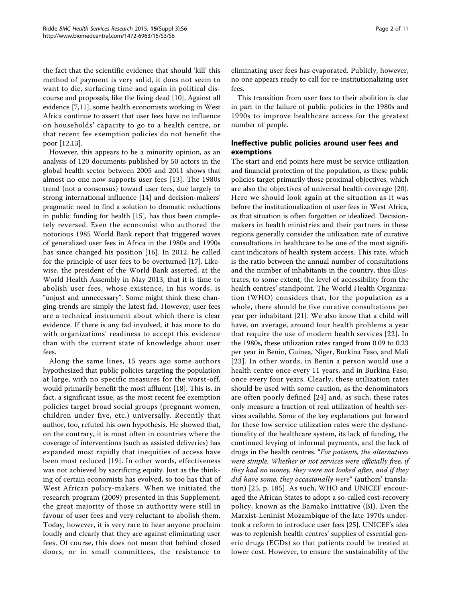the fact that the scientific evidence that should 'kill' this method of payment is very solid, it does not seem to want to die, surfacing time and again in political discourse and proposals, like the living dead [[10\]](#page-8-0). Against all evidence [[7,11](#page-8-0)], some health economists working in West Africa continue to assert that user fees have no influence on households' capacity to go to a health centre, or that recent fee exemption policies do not benefit the poor [[12,13](#page-8-0)].

However, this appears to be a minority opinion, as an analysis of 120 documents published by 50 actors in the global health sector between 2005 and 2011 shows that almost no one now supports user fees [[13](#page-8-0)]. The 1980s trend (not a consensus) toward user fees, due largely to strong international influence [[14\]](#page-8-0) and decision-makers' pragmatic need to find a solution to dramatic reductions in public funding for health [\[15\]](#page-8-0), has thus been completely reversed. Even the economist who authored the notorious 1985 World Bank report that triggered waves of generalized user fees in Africa in the 1980s and 1990s has since changed his position [[16\]](#page-8-0). In 2012, he called for the principle of user fees to be overturned [\[17](#page-8-0)]. Likewise, the president of the World Bank asserted, at the World Health Assembly in May 2013, that it is time to abolish user fees, whose existence, in his words, is "unjust and unnecessary". Some might think these changing trends are simply the latest fad. However, user fees are a technical instrument about which there is clear evidence. If there is any fad involved, it has more to do with organizations' readiness to accept this evidence than with the current state of knowledge about user fees.

Along the same lines, 15 years ago some authors hypothesized that public policies targeting the population at large, with no specific measures for the worst-off, would primarily benefit the most affluent [[18\]](#page-8-0). This is, in fact, a significant issue, as the most recent fee exemption policies target broad social groups (pregnant women, children under five, etc.) universally. Recently that author, too, refuted his own hypothesis. He showed that, on the contrary, it is most often in countries where the coverage of interventions (such as assisted deliveries) has expanded most rapidly that inequities of access have been most reduced [[19\]](#page-8-0). In other words, effectiveness was not achieved by sacrificing equity. Just as the thinking of certain economists has evolved, so too has that of West African policy-makers. When we initiated the research program (2009) presented in this Supplement, the great majority of those in authority were still in favour of user fees and very reluctant to abolish them. Today, however, it is very rare to hear anyone proclaim loudly and clearly that they are against eliminating user fees. Of course, this does not mean that behind closed doors, or in small committees, the resistance to eliminating user fees has evaporated. Publicly, however, no one appears ready to call for re-institutionalizing user fees.

This transition from user fees to their abolition is due in part to the failure of public policies in the 1980s and 1990s to improve healthcare access for the greatest number of people.

# Ineffective public policies around user fees and exemptions

The start and end points here must be service utilization and financial protection of the population, as these public policies target primarily those proximal objectives, which are also the objectives of universal health coverage [[20](#page-8-0)]. Here we should look again at the situation as it was before the institutionalization of user fees in West Africa, as that situation is often forgotten or idealized. Decisionmakers in health ministries and their partners in these regions generally consider the utilization rate of curative consultations in healthcare to be one of the most significant indicators of health system access. This rate, which is the ratio between the annual number of consultations and the number of inhabitants in the country, thus illustrates, to some extent, the level of accessibility from the health centres' standpoint. The World Health Organization (WHO) considers that, for the population as a whole, there should be five curative consultations per year per inhabitant [\[21](#page-8-0)]. We also know that a child will have, on average, around four health problems a year that require the use of modern health services [\[22\]](#page-8-0). In the 1980s, these utilization rates ranged from 0.09 to 0.23 per year in Benin, Guinea, Niger, Burkina Faso, and Mali [[23](#page-8-0)]. In other words, in Benin a person would use a health centre once every 11 years, and in Burkina Faso, once every four years. Clearly, these utilization rates should be used with some caution, as the denominators are often poorly defined [\[24\]](#page-8-0) and, as such, these rates only measure a fraction of real utilization of health services available. Some of the key explanations put forward for these low service utilization rates were the dysfunctionality of the healthcare system, its lack of funding, the continued levying of informal payments, and the lack of drugs in the health centres. "For patients, the alternatives were simple. Whether or not services were officially free, if they had no money, they were not looked after, and if they did have some, they occasionally were" (authors' translation) [25, p. 185]. As such, WHO and UNICEF encouraged the African States to adopt a so-called cost-recovery policy, known as the Bamako Initiative (BI). Even the Marxist-Leninist Mozambique of the late 1970s undertook a reform to introduce user fees [[25\]](#page-8-0). UNICEF's idea was to replenish health centres' supplies of essential generic drugs (EGDs) so that patients could be treated at lower cost. However, to ensure the sustainability of the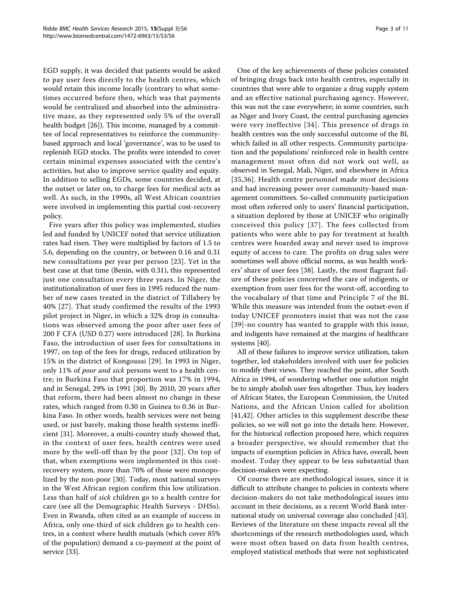EGD supply, it was decided that patients would be asked to pay user fees directly to the health centres, which would retain this income locally (contrary to what sometimes occurred before then, which was that payments would be centralized and absorbed into the administrative maze, as they represented only 5% of the overall health budget [[26\]](#page-8-0)). This income, managed by a committee of local representatives to reinforce the communitybased approach and local 'governance', was to be used to replenish EGD stocks. The profits were intended to cover certain minimal expenses associated with the centre's activities, but also to improve service quality and equity. In addition to selling EGDs, some countries decided, at the outset or later on, to charge fees for medical acts as well. As such, in the 1990s, all West African countries were involved in implementing this partial cost-recovery policy.

Five years after this policy was implemented, studies led and funded by UNICEF noted that service utilization rates had risen. They were multiplied by factors of 1.5 to 5.6, depending on the country, or between 0.16 and 0.31 new consultations per year per person [[23](#page-8-0)]. Yet in the best case at that time (Benin, with 0.31), this represented just one consultation every three years. In Niger, the institutionalization of user fees in 1995 reduced the number of new cases treated in the district of Tillabery by 40% [\[27\]](#page-8-0). That study confirmed the results of the 1993 pilot project in Niger, in which a 32% drop in consultations was observed among the poor after user fees of 200 F CFA (USD 0.27) were introduced [[28\]](#page-8-0). In Burkina Faso, the introduction of user fees for consultations in 1997, on top of the fees for drugs, reduced utilization by 15% in the district of Kongoussi [[29](#page-8-0)]. In 1993 in Niger, only 11% of poor and sick persons went to a health centre; in Burkina Faso that proportion was 17% in 1994, and in Senegal, 29% in 1991 [[30\]](#page-8-0). By 2010, 20 years after that reform, there had been almost no change in these rates, which ranged from 0.30 in Guinea to 0.36 in Burkina Faso. In other words, health services were not being used, or just barely, making those health systems inefficient [[31\]](#page-8-0). Moreover, a multi-country study showed that, in the context of user fees, health centres were used more by the well-off than by the poor [[32\]](#page-8-0). On top of that, when exemptions were implemented in this costrecovery system, more than 70% of those were monopolized by the non-poor [[30\]](#page-8-0). Today, most national surveys in the West African region confirm this low utilization. Less than half of sick children go to a health centre for care (see all the Demographic Health Surveys - DHSs). Even in Rwanda, often cited as an example of success in Africa, only one-third of sick children go to health centres, in a context where health mutuals (which cover 85% of the population) demand a co-payment at the point of service [\[33\]](#page-8-0).

One of the key achievements of these policies consisted of bringing drugs back into health centres, especially in countries that were able to organize a drug supply system and an effective national purchasing agency. However, this was not the case everywhere; in some countries, such as Niger and Ivory Coast, the central purchasing agencies were very ineffective [[34\]](#page-8-0). This presence of drugs in health centres was the only successful outcome of the BI, which failed in all other respects. Community participation and the populations' reinforced role in health centre management most often did not work out well, as observed in Senegal, Mali, Niger, and elsewhere in Africa [[35,36](#page-8-0)]. Health centre personnel made most decisions and had increasing power over community-based management committees. So-called community participation most often referred only to users' financial participation, a situation deplored by those at UNICEF who originally conceived this policy [[37\]](#page-8-0). The fees collected from patients who were able to pay for treatment at health centres were hoarded away and never used to improve equity of access to care. The profits on drug sales were sometimes well above official norms, as was health workers' share of user fees [[38](#page-8-0)]. Lastly, the most flagrant failure of these policies concerned the care of indigents, or exemption from user fees for the worst-off, according to the vocabulary of that time and Principle 7 of the BI. While this measure was intended from the outset-even if today UNICEF promoters insist that was not the case [[39\]](#page-8-0)-no country has wanted to grapple with this issue, and indigents have remained at the margins of healthcare systems [[40\]](#page-8-0).

All of these failures to improve service utilization, taken together, led stakeholders involved with user fee policies to modify their views. They reached the point, after South Africa in 1994, of wondering whether one solution might be to simply abolish user fees altogether. Thus, key leaders of African States, the European Commission, the United Nations, and the African Union called for abolition [[41,42](#page-8-0)]. Other articles in this supplement describe these policies, so we will not go into the details here. However, for the historical reflection proposed here, which requires a broader perspective, we should remember that the impacts of exemption policies in Africa have, overall, been modest. Today they appear to be less substantial than decision-makers were expecting.

Of course there are methodological issues, since it is difficult to attribute changes to policies in contexts where decision-makers do not take methodological issues into account in their decisions, as a recent World Bank international study on universal coverage also concluded [\[43](#page-8-0)]. Reviews of the literature on these impacts reveal all the shortcomings of the research methodologies used, which were most often based on data from health centres, employed statistical methods that were not sophisticated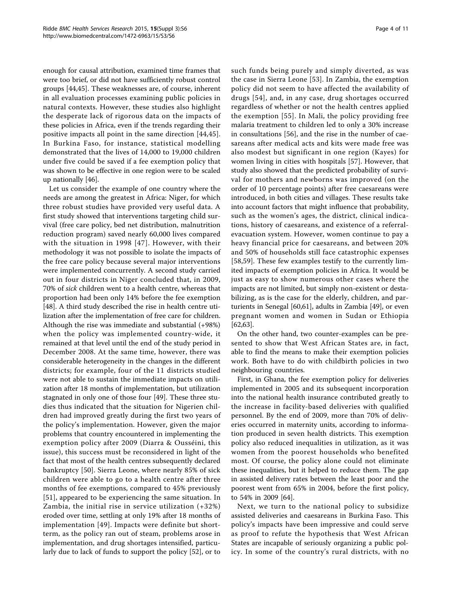enough for causal attribution, examined time frames that were too brief, or did not have sufficiently robust control groups [\[44,45](#page-8-0)]. These weaknesses are, of course, inherent in all evaluation processes examining public policies in natural contexts. However, these studies also highlight the desperate lack of rigorous data on the impacts of these policies in Africa, even if the trends regarding their positive impacts all point in the same direction [\[44,45](#page-8-0)]. In Burkina Faso, for instance, statistical modelling demonstrated that the lives of 14,000 to 19,000 children under five could be saved if a fee exemption policy that was shown to be effective in one region were to be scaled up nationally [[46](#page-8-0)].

Let us consider the example of one country where the needs are among the greatest in Africa: Niger, for which three robust studies have provided very useful data. A first study showed that interventions targeting child survival (free care policy, bed net distribution, malnutrition reduction program) saved nearly 60,000 lives compared with the situation in 1998 [[47](#page-8-0)]. However, with their methodology it was not possible to isolate the impacts of the free care policy because several major interventions were implemented concurrently. A second study carried out in four districts in Niger concluded that, in 2009, 70% of sick children went to a health centre, whereas that proportion had been only 14% before the fee exemption [[48\]](#page-8-0). A third study described the rise in health centre utilization after the implementation of free care for children. Although the rise was immediate and substantial (+98%) when the policy was implemented country-wide, it remained at that level until the end of the study period in December 2008. At the same time, however, there was considerable heterogeneity in the changes in the different districts; for example, four of the 11 districts studied were not able to sustain the immediate impacts on utilization after 18 months of implementation, but utilization stagnated in only one of those four [[49](#page-9-0)]. These three studies thus indicated that the situation for Nigerien children had improved greatly during the first two years of the policy's implementation. However, given the major problems that country encountered in implementing the exemption policy after 2009 (Diarra & Ousséini, this issue), this success must be reconsidered in light of the fact that most of the health centres subsequently declared bankruptcy [[50](#page-9-0)]. Sierra Leone, where nearly 85% of sick children were able to go to a health centre after three months of fee exemptions, compared to 45% previously [[51](#page-9-0)], appeared to be experiencing the same situation. In Zambia, the initial rise in service utilization (+32%) eroded over time, settling at only 19% after 18 months of implementation [[49\]](#page-9-0). Impacts were definite but shortterm, as the policy ran out of steam, problems arose in implementation, and drug shortages intensified, particularly due to lack of funds to support the policy [[52\]](#page-9-0), or to such funds being purely and simply diverted, as was the case in Sierra Leone [\[53](#page-9-0)]. In Zambia, the exemption policy did not seem to have affected the availability of drugs [[54](#page-9-0)], and, in any case, drug shortages occurred regardless of whether or not the health centres applied the exemption [[55\]](#page-9-0). In Mali, the policy providing free malaria treatment to children led to only a 30% increase in consultations [\[56](#page-9-0)], and the rise in the number of caesareans after medical acts and kits were made free was also modest but significant in one region (Kayes) for women living in cities with hospitals [[57](#page-9-0)]. However, that study also showed that the predicted probability of survival for mothers and newborns was improved (on the order of 10 percentage points) after free caesareans were introduced, in both cities and villages. These results take into account factors that might influence that probability, such as the women's ages, the district, clinical indications, history of caesareans, and existence of a referralevacuation system. However, women continue to pay a heavy financial price for caesareans, and between 20% and 50% of households still face catastrophic expenses [[58,59](#page-9-0)]. These few examples testify to the currently limited impacts of exemption policies in Africa. It would be just as easy to show numerous other cases where the impacts are not limited, but simply non-existent or destabilizing, as is the case for the elderly, children, and parturients in Senegal [\[60,61](#page-9-0)], adults in Zambia [[49](#page-9-0)], or even pregnant women and women in Sudan or Ethiopia [[62,63\]](#page-9-0).

On the other hand, two counter-examples can be presented to show that West African States are, in fact, able to find the means to make their exemption policies work. Both have to do with childbirth policies in two neighbouring countries.

First, in Ghana, the fee exemption policy for deliveries implemented in 2005 and its subsequent incorporation into the national health insurance contributed greatly to the increase in facility-based deliveries with qualified personnel. By the end of 2009, more than 70% of deliveries occurred in maternity units, according to information produced in seven health districts. This exemption policy also reduced inequalities in utilization, as it was women from the poorest households who benefited most. Of course, the policy alone could not eliminate these inequalities, but it helped to reduce them. The gap in assisted delivery rates between the least poor and the poorest went from 65% in 2004, before the first policy, to 54% in 2009 [\[64\]](#page-9-0).

Next, we turn to the national policy to subsidize assisted deliveries and caesareans in Burkina Faso. This policy's impacts have been impressive and could serve as proof to refute the hypothesis that West African States are incapable of seriously organizing a public policy. In some of the country's rural districts, with no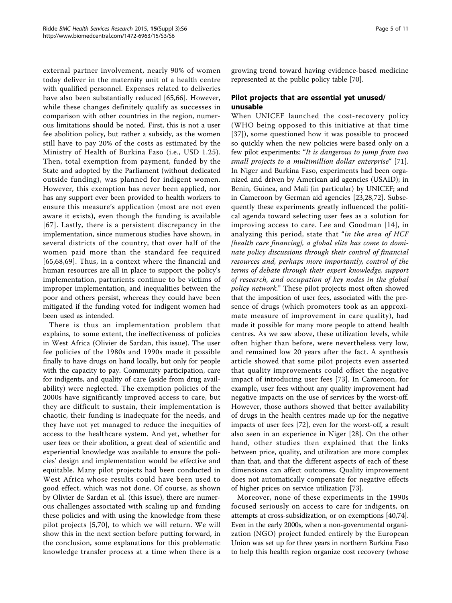external partner involvement, nearly 90% of women today deliver in the maternity unit of a health centre with qualified personnel. Expenses related to deliveries have also been substantially reduced [[65](#page-9-0),[66\]](#page-9-0). However, while these changes definitely qualify as successes in comparison with other countries in the region, numerous limitations should be noted. First, this is not a user fee abolition policy, but rather a subsidy, as the women still have to pay 20% of the costs as estimated by the Ministry of Health of Burkina Faso (i.e., USD 1.25). Then, total exemption from payment, funded by the State and adopted by the Parliament (without dedicated outside funding), was planned for indigent women. However, this exemption has never been applied, nor has any support ever been provided to health workers to ensure this measure's application (most are not even aware it exists), even though the funding is available [[67\]](#page-9-0). Lastly, there is a persistent discrepancy in the implementation, since numerous studies have shown, in several districts of the country, that over half of the women paid more than the standard fee required [[65](#page-9-0),[68,69\]](#page-9-0). Thus, in a context where the financial and human resources are all in place to support the policy's implementation, parturients continue to be victims of improper implementation, and inequalities between the poor and others persist, whereas they could have been mitigated if the funding voted for indigent women had been used as intended.

There is thus an implementation problem that explains, to some extent, the ineffectiveness of policies in West Africa (Olivier de Sardan, this issue). The user fee policies of the 1980s and 1990s made it possible finally to have drugs on hand locally, but only for people with the capacity to pay. Community participation, care for indigents, and quality of care (aside from drug availability) were neglected. The exemption policies of the 2000s have significantly improved access to care, but they are difficult to sustain, their implementation is chaotic, their funding is inadequate for the needs, and they have not yet managed to reduce the inequities of access to the healthcare system. And yet, whether for user fees or their abolition, a great deal of scientific and experiential knowledge was available to ensure the policies' design and implementation would be effective and equitable. Many pilot projects had been conducted in West Africa whose results could have been used to good effect, which was not done. Of course, as shown by Olivier de Sardan et al. (this issue), there are numerous challenges associated with scaling up and funding these policies and with using the knowledge from these pilot projects [[5](#page-8-0),[70\]](#page-9-0), to which we will return. We will show this in the next section before putting forward, in the conclusion, some explanations for this problematic knowledge transfer process at a time when there is a

growing trend toward having evidence-based medicine represented at the public policy table [[70\]](#page-9-0).

# Pilot projects that are essential yet unused/ unusable

When UNICEF launched the cost-recovery policy (WHO being opposed to this initiative at that time [[37](#page-8-0)]), some questioned how it was possible to proceed so quickly when the new policies were based only on a few pilot experiments: "It is dangerous to jump from two small projects to a multimillion dollar enterprise" [[71](#page-9-0)]. In Niger and Burkina Faso, experiments had been organized and driven by American aid agencies (USAID); in Benin, Guinea, and Mali (in particular) by UNICEF; and in Cameroon by German aid agencies [[23](#page-8-0),[28,](#page-8-0)[72\]](#page-9-0). Subsequently these experiments greatly influenced the political agenda toward selecting user fees as a solution for improving access to care. Lee and Goodman [[14\]](#page-8-0), in analyzing this period, state that "in the area of HCF [health care financing], a global elite has come to dominate policy discussions through their control of financial resources and, perhaps more importantly, control of the terms of debate through their expert knowledge, support of research, and occupation of key nodes in the global policy network." These pilot projects most often showed that the imposition of user fees, associated with the presence of drugs (which promoters took as an approximate measure of improvement in care quality), had made it possible for many more people to attend health centres. As we saw above, these utilization levels, while often higher than before, were nevertheless very low, and remained low 20 years after the fact. A synthesis article showed that some pilot projects even asserted that quality improvements could offset the negative impact of introducing user fees [\[73](#page-9-0)]. In Cameroon, for example, user fees without any quality improvement had negative impacts on the use of services by the worst-off. However, those authors showed that better availability of drugs in the health centres made up for the negative impacts of user fees [[72](#page-9-0)], even for the worst-off, a result also seen in an experience in Niger [\[28](#page-8-0)]. On the other hand, other studies then explained that the links between price, quality, and utilization are more complex than that, and that the different aspects of each of these dimensions can affect outcomes. Quality improvement does not automatically compensate for negative effects of higher prices on service utilization [[73\]](#page-9-0).

Moreover, none of these experiments in the 1990s focused seriously on access to care for indigents, on attempts at cross-subsidization, or on exemptions [[40,](#page-8-0)[74](#page-9-0)]. Even in the early 2000s, when a non-governmental organization (NGO) project funded entirely by the European Union was set up for three years in northern Burkina Faso to help this health region organize cost recovery (whose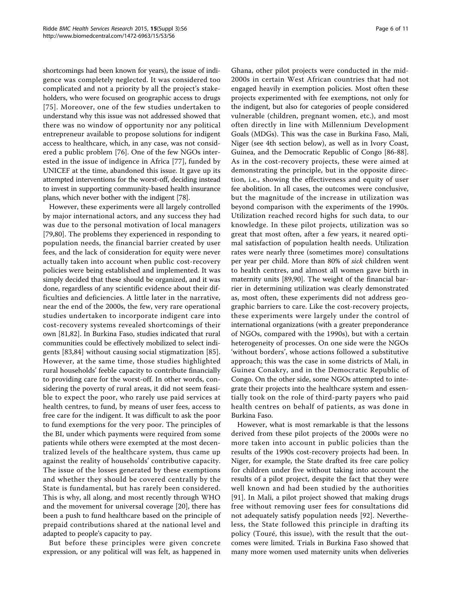shortcomings had been known for years), the issue of indigence was completely neglected. It was considered too complicated and not a priority by all the project's stakeholders, who were focused on geographic access to drugs [[75\]](#page-9-0). Moreover, one of the few studies undertaken to understand why this issue was not addressed showed that there was no window of opportunity nor any political entrepreneur available to propose solutions for indigent access to healthcare, which, in any case, was not considered a public problem [[76\]](#page-9-0). One of the few NGOs interested in the issue of indigence in Africa [[77](#page-9-0)], funded by UNICEF at the time, abandoned this issue. It gave up its attempted interventions for the worst-off, deciding instead to invest in supporting community-based health insurance plans, which never bother with the indigent [[78](#page-9-0)].

However, these experiments were all largely controlled by major international actors, and any success they had was due to the personal motivation of local managers [[79,80\]](#page-9-0). The problems they experienced in responding to population needs, the financial barrier created by user fees, and the lack of consideration for equity were never actually taken into account when public cost-recovery policies were being established and implemented. It was simply decided that these should be organized, and it was done, regardless of any scientific evidence about their difficulties and deficiencies. A little later in the narrative, near the end of the 2000s, the few, very rare operational studies undertaken to incorporate indigent care into cost-recovery systems revealed shortcomings of their own [\[81,82](#page-9-0)]. In Burkina Faso, studies indicated that rural communities could be effectively mobilized to select indigents [[83,84](#page-9-0)] without causing social stigmatization [[85](#page-9-0)]. However, at the same time, those studies highlighted rural households' feeble capacity to contribute financially to providing care for the worst-off. In other words, considering the poverty of rural areas, it did not seem feasible to expect the poor, who rarely use paid services at health centres, to fund, by means of user fees, access to free care for the indigent. It was difficult to ask the poor to fund exemptions for the very poor. The principles of the BI, under which payments were required from some patients while others were exempted at the most decentralized levels of the healthcare system, thus came up against the reality of households' contributive capacity. The issue of the losses generated by these exemptions and whether they should be covered centrally by the State is fundamental, but has rarely been considered. This is why, all along, and most recently through WHO and the movement for universal coverage [\[20](#page-8-0)], there has been a push to fund healthcare based on the principle of prepaid contributions shared at the national level and adapted to people's capacity to pay.

But before these principles were given concrete expression, or any political will was felt, as happened in

Ghana, other pilot projects were conducted in the mid-2000s in certain West African countries that had not engaged heavily in exemption policies. Most often these projects experimented with fee exemptions, not only for the indigent, but also for categories of people considered vulnerable (children, pregnant women, etc.), and most often directly in line with Millennium Development Goals (MDGs). This was the case in Burkina Faso, Mali, Niger (see 4th section below), as well as in Ivory Coast, Guinea, and the Democratic Republic of Congo [[86-88](#page-9-0)]. As in the cost-recovery projects, these were aimed at demonstrating the principle, but in the opposite direction, i.e., showing the effectiveness and equity of user fee abolition. In all cases, the outcomes were conclusive, but the magnitude of the increase in utilization was beyond comparison with the experiments of the 1990s. Utilization reached record highs for such data, to our knowledge. In these pilot projects, utilization was so great that most often, after a few years, it neared optimal satisfaction of population health needs. Utilization rates were nearly three (sometimes more) consultations per year per child. More than 80% of sick children went to health centres, and almost all women gave birth in maternity units [[89,90\]](#page-9-0). The weight of the financial barrier in determining utilization was clearly demonstrated as, most often, these experiments did not address geographic barriers to care. Like the cost-recovery projects, these experiments were largely under the control of international organizations (with a greater preponderance of NGOs, compared with the 1990s), but with a certain heterogeneity of processes. On one side were the NGOs 'without borders', whose actions followed a substitutive approach; this was the case in some districts of Mali, in Guinea Conakry, and in the Democratic Republic of Congo. On the other side, some NGOs attempted to integrate their projects into the healthcare system and essentially took on the role of third-party payers who paid health centres on behalf of patients, as was done in Burkina Faso.

However, what is most remarkable is that the lessons derived from these pilot projects of the 2000s were no more taken into account in public policies than the results of the 1990s cost-recovery projects had been. In Niger, for example, the State drafted its free care policy for children under five without taking into account the results of a pilot project, despite the fact that they were well known and had been studied by the authorities [[91](#page-9-0)]. In Mali, a pilot project showed that making drugs free without removing user fees for consultations did not adequately satisfy population needs [[92\]](#page-9-0). Nevertheless, the State followed this principle in drafting its policy (Touré, this issue), with the result that the outcomes were limited. Trials in Burkina Faso showed that many more women used maternity units when deliveries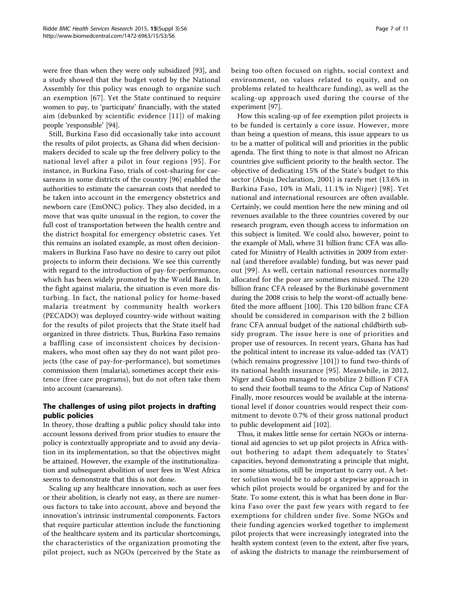were free than when they were only subsidized [\[93\]](#page-10-0), and a study showed that the budget voted by the National Assembly for this policy was enough to organize such an exemption [\[67\]](#page-9-0). Yet the State continued to require women to pay, to 'participate' financially, with the stated aim (debunked by scientific evidence [[11](#page-8-0)]) of making people 'responsible' [[94\]](#page-10-0).

Still, Burkina Faso did occasionally take into account the results of pilot projects, as Ghana did when decisionmakers decided to scale up the free delivery policy to the national level after a pilot in four regions [[95\]](#page-10-0). For instance, in Burkina Faso, trials of cost-sharing for caesareans in some districts of the country [[96\]](#page-10-0) enabled the authorities to estimate the caesarean costs that needed to be taken into account in the emergency obstetrics and newborn care (EmONC) policy. They also decided, in a move that was quite unusual in the region, to cover the full cost of transportation between the health centre and the district hospital for emergency obstetric cases. Yet this remains an isolated example, as most often decisionmakers in Burkina Faso have no desire to carry out pilot projects to inform their decisions. We see this currently with regard to the introduction of pay-for-performance, which has been widely promoted by the World Bank. In the fight against malaria, the situation is even more disturbing. In fact, the national policy for home-based malaria treatment by community health workers (PECADO) was deployed country-wide without waiting for the results of pilot projects that the State itself had organized in three districts. Thus, Burkina Faso remains a baffling case of inconsistent choices by decisionmakers, who most often say they do not want pilot projects (the case of pay-for-performance), but sometimes commission them (malaria), sometimes accept their existence (free care programs), but do not often take them into account (caesareans).

# The challenges of using pilot projects in drafting public policies

In theory, those drafting a public policy should take into account lessons derived from prior studies to ensure the policy is contextually appropriate and to avoid any deviation in its implementation, so that the objectives might be attained. However, the example of the institutionalization and subsequent abolition of user fees in West Africa seems to demonstrate that this is not done.

Scaling up any healthcare innovation, such as user fees or their abolition, is clearly not easy, as there are numerous factors to take into account, above and beyond the innovation's intrinsic instrumental components. Factors that require particular attention include the functioning of the healthcare system and its particular shortcomings, the characteristics of the organization promoting the pilot project, such as NGOs (perceived by the State as being too often focused on rights, social context and environment, on values related to equity, and on problems related to healthcare funding), as well as the scaling-up approach used during the course of the experiment [[97](#page-10-0)].

How this scaling-up of fee exemption pilot projects is to be funded is certainly a core issue. However, more than being a question of means, this issue appears to us to be a matter of political will and priorities in the public agenda. The first thing to note is that almost no African countries give sufficient priority to the health sector. The objective of dedicating 15% of the State's budget to this sector (Abuja Declaration, 2001) is rarely met (13.6% in Burkina Faso, 10% in Mali, 11.1% in Niger) [[98\]](#page-10-0). Yet national and international resources are often available. Certainly, we could mention here the new mining and oil revenues available to the three countries covered by our research program, even though access to information on this subject is limited. We could also, however, point to the example of Mali, where 31 billion franc CFA was allocated for Ministry of Health activities in 2009 from external (and therefore available) funding, but was never paid out [[99](#page-10-0)]. As well, certain national resources normally allocated for the poor are sometimes misused. The 120 billion franc CFA released by the Burkinabè government during the 2008 crisis to help the worst-off actually benefited the more affluent [\[100](#page-10-0)]. This 120 billion franc CFA should be considered in comparison with the 2 billion franc CFA annual budget of the national childbirth subsidy program. The issue here is one of priorities and proper use of resources. In recent years, Ghana has had the political intent to increase its value-added tax (VAT) (which remains progressive [[101\]](#page-10-0)) to fund two-thirds of its national health insurance [[95](#page-10-0)]. Meanwhile, in 2012, Niger and Gabon managed to mobilize 2 billion F CFA to send their football teams to the Africa Cup of Nations! Finally, more resources would be available at the international level if donor countries would respect their commitment to devote 0.7% of their gross national product to public development aid [\[102](#page-10-0)].

Thus, it makes little sense for certain NGOs or international aid agencies to set up pilot projects in Africa without bothering to adapt them adequately to States' capacities, beyond demonstrating a principle that might, in some situations, still be important to carry out. A better solution would be to adopt a stepwise approach in which pilot projects would be organized by and for the State. To some extent, this is what has been done in Burkina Faso over the past few years with regard to fee exemptions for children under five. Some NGOs and their funding agencies worked together to implement pilot projects that were increasingly integrated into the health system context (even to the extent, after five years, of asking the districts to manage the reimbursement of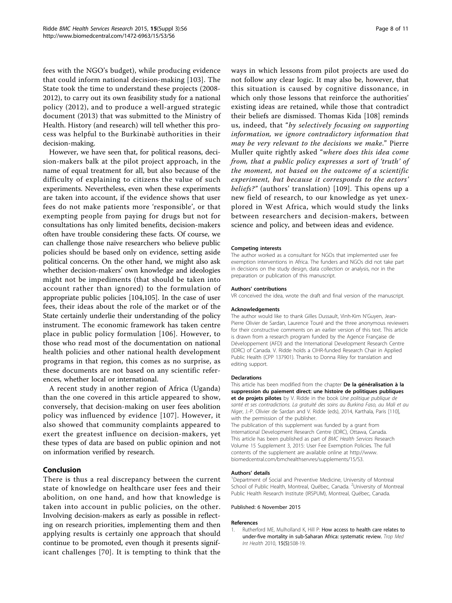<span id="page-7-0"></span>fees with the NGO's budget), while producing evidence that could inform national decision-making [[103](#page-10-0)]. The State took the time to understand these projects (2008- 2012), to carry out its own feasibility study for a national policy (2012), and to produce a well-argued strategic document (2013) that was submitted to the Ministry of Health. History (and research) will tell whether this process was helpful to the Burkinabè authorities in their decision-making.

However, we have seen that, for political reasons, decision-makers balk at the pilot project approach, in the name of equal treatment for all, but also because of the difficulty of explaining to citizens the value of such experiments. Nevertheless, even when these experiments are taken into account, if the evidence shows that user fees do not make patients more 'responsible', or that exempting people from paying for drugs but not for consultations has only limited benefits, decision-makers often have trouble considering these facts. Of course, we can challenge those naïve researchers who believe public policies should be based only on evidence, setting aside political concerns. On the other hand, we might also ask whether decision-makers' own knowledge and ideologies might not be impediments (that should be taken into account rather than ignored) to the formulation of appropriate public policies [[104,105\]](#page-10-0). In the case of user fees, their ideas about the role of the market or of the State certainly underlie their understanding of the policy instrument. The economic framework has taken centre place in public policy formulation [[106](#page-10-0)]. However, to those who read most of the documentation on national health policies and other national health development programs in that region, this comes as no surprise, as these documents are not based on any scientific references, whether local or international.

A recent study in another region of Africa (Uganda) than the one covered in this article appeared to show, conversely, that decision-making on user fees abolition policy was influenced by evidence [\[107](#page-10-0)]. However, it also showed that community complaints appeared to exert the greatest influence on decision-makers, yet these types of data are based on public opinion and not on information verified by research.

# Conclusion

There is thus a real discrepancy between the current state of knowledge on healthcare user fees and their abolition, on one hand, and how that knowledge is taken into account in public policies, on the other. Involving decision-makers as early as possible in reflecting on research priorities, implementing them and then applying results is certainly one approach that should continue to be promoted, even though it presents significant challenges [[70\]](#page-9-0). It is tempting to think that the

ways in which lessons from pilot projects are used do not follow any clear logic. It may also be, however, that this situation is caused by cognitive dissonance, in which only those lessons that reinforce the authorities' existing ideas are retained, while those that contradict their beliefs are dismissed. Thomas Kida [[108\]](#page-10-0) reminds us, indeed, that "by selectively focusing on supporting information, we ignore contradictory information that may be very relevant to the decisions we make." Pierre Muller quite rightly asked "where does this idea come from, that a public policy expresses a sort of 'truth' of the moment, not based on the outcome of a scientific experiment, but because it corresponds to the actors' beliefs?" (authors' translation) [[109](#page-10-0)]. This opens up a new field of research, to our knowledge as yet unexplored in West Africa, which would study the links between researchers and decision-makers, between science and policy, and between ideas and evidence.

### Competing interests

The author worked as a consultant for NGOs that implemented user fee exemption interventions in Africa. The funders and NGOs did not take part in decisions on the study design, data collection or analysis, nor in the preparation or publication of this manuscript.

#### Authors' contributions

VR conceived the idea, wrote the draft and final version of the manuscript.

#### Acknowledgements

The author would like to thank Gilles Dussault, Vinh-Kim N'Guyen, Jean-Pierre Olivier de Sardan, Laurence Touré and the three anonymous reviewers for their constructive comments on an earlier version of this text. This article is drawn from a research program funded by the Agence Française de Développement (AFD) and the International Development Research Centre (IDRC) of Canada. V. Ridde holds a CIHR-funded Research Chair in Applied Public Health (CPP 137901). Thanks to Donna Riley for translation and editing support.

#### Declarations

This article has been modified from the chapter De la généralisation à la suppression du paiement direct: une histoire de politiques publiques et de projets pilotes by V. Ridde in the book Une politique publique de santé et ses contradictions. La gratuité des soins au Burkina Faso, au Mali et au Niger, J.-P. Olivier de Sardan and V. Ridde (eds), 2014, Karthala, Paris [\[110](#page-10-0)], with the permission of the publisher.

The publication of this supplement was funded by a grant from International Development Research Centre (IDRC), Ottawa, Canada. This article has been published as part of BMC Health Services Research Volume 15 Supplement 3, 2015: User Fee Exemption Policies. The full contents of the supplement are available online at [http://www.](http://www.biomedcentral.com/bmchealthservres/supplements/15/S3) [biomedcentral.com/bmchealthservres/supplements/15/S3](http://www.biomedcentral.com/bmchealthservres/supplements/15/S3).

#### Authors' details <sup>1</sup>

<sup>1</sup>Department of Social and Preventive Medicine, University of Montreal School of Public Health, Montreal, Québec, Canada. <sup>2</sup>University of Montreal Public Health Research Institute (IRSPUM), Montreal, Québec, Canada.

#### Published: 6 November 2015

#### References

Rutherford ME, Mulholland K, Hill P: How access to health care relates to under-five mortality in sub-Saharan Africa: systematic review. Trop Med Int Health 2010, 15(5):508-19.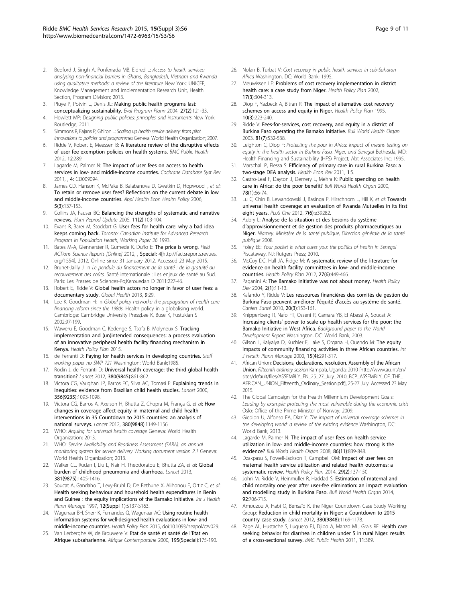- <span id="page-8-0"></span>2. Bedford J, Singh A, Ponferrada MB, Eldred L: Access to health services: analysing non-financial barriers in Ghana, Bangladesh, Vietnam and Rwanda using qualitative methods: a review of the literature New York: UNICEF, Knowledge Management and Implementation Research Unit, Health Section, Program Division; 2013.
- 3. Pluye P, Potvin L, Denis JL: Making public health programs last: conceptualizing sustainability. Eval Program Plann 2004, 27(2):121-33.
- 4. Howlett MP: Designing public policies: principles and instruments New York: Routledge; 2011.
- 5. Simmons R, Fajans P, Ghiron L: Scaling up health service delivery: from pilot innovations to policies and programmes Geneva: World Health Organization; 2007.
- 6. Ridde V, Robert E, Meessen B: A literature review of the disruptive effects of user fee exemption policies on health systems. BMC Public Health 2012, 12:289.
- 7. Lagarde M, Palmer N: The impact of user fees on access to health services in low- and middle-income countries. Cochrane Database Syst Rev 2011, , 4: CD009094.
- 8. James CD, Hanson K, McPake B, Balabanova D, Gwatkin D, Hopwood I, et al: To retain or remove user fees? Reflections on the current debate in low and middle-income countries. Appl Health Econ Health Policy 2006, 5(3):137-153.
- Collins JA, Fauser BC: Balancing the strengths of systematic and narrative reviews. Hum Reprod Update 2005, 11(2):103-104.
- 10. Evans R, Barer M, Stoddart G: User fees for health care: why a bad idea keeps coming back. Toronto: Canadian Institute for Advanced Research Program in Population Health, Working Paper 26 1993.
- 11. Bates M-A, Glennerster R, Gumede K, Duflo E: The price is wrong. Field ACTions Science Reports [Online] 2012, , Special: 4[\[http://factsreports.revues.](http://factsreports.revues.org/1554) [org/1554](http://factsreports.revues.org/1554)], 2012, Online since 31 January 2012. Accessed 23 May 2015.
- 12. Brunet-Jailly J: In Le pendule du financement de la santé : de la gratuité au recouvrement des coûts. Santé internationale : Les enjeux de santé au Sud. Paris: Les Presses de Sciences-Po;Kerouedan D 2011:227-46.
- 13. Robert E, Ridde V: Global health actors no longer in favor of user fees: a documentary study. Global Health 2013, 9:29.
- 14. Lee K, Goodman H: In Global policy networks: the propagation of health care financing reform since the 1980s. Health policy in a globalising world. Cambridge: Cambridge University Press;Lee K, Buse K, Fustukian S 2002:97-199.
- 15. Waweru E, Goodman C, Kedenge S, Tsofa B, Molyneux S: Tracking implementation and (un)intended consequences: a process evaluation of an innovative peripheral health facility financing mechanism in Kenya. Health Policy Plan 2015.
- 16. de Ferranti D: Paying for health services in developing countries. Staff working paper no SWP 721 Washington: World Bank;1985.
- 17. Rodin J, de Ferranti D: Universal health coverage: the third global health transition? Lancet 2012, 380(9845):861-862.
- 18. Victora CG, Vaughan JP, Barros FC, Silva AC, Tomasi E: Explaining trends in inequities: evidence from Brazilian child health studies. Lancet 2000, 356(9235):1093-1098.
- 19. Victora CG, Barros A, Axelson H, Bhutta Z, Chopra M, França G, et al: How changes in coverage affect equity in maternal and child health interventions in 35 Countdown to 2015 countries: an analysis of national surveys. Lancet 2012, 380(9848):1149-1156.
- 20. WHO: Arguing for universal health coverage Geneva: World Health Organization; 2013.
- 21. WHO: Service Availability and Readiness Assessment (SARA): an annual monitoring system for service delivery Working document version 2.1 Geneva: World Health Organization; 2013.
- 22. Walker CL, Rudan I, Liu L, Nair H, Theodoratou E, Bhutta ZA, et al: Global burden of childhood pneumonia and diarrhoea. Lancet 2013, 381(9875):1405-1416.
- 23. Soucat A, Gandaho T, Levy-Bruhl D, De Bethune X, Alihonou E, Ortiz C, et al: Health seeking behaviour and household health expenditures in Benin and Guinea : the equity implications of the Bamako Initiative. Int J Health Plann Manage 1997, 12(Suppl 1):S137-S163.
- 24. Wagenaar BH, Sherr K, Fernandes Q, Wagenaar AC: Using routine health information systems for well-designed health evaluations in low- and middle-income countries. Health Policy Plan 2015, doi:10.1093/heapol/czv029.
- 25. Van Lerberghe W, de Brouwere V: Etat de santé et santé de l'Etat en Afrique subsaharienne. Afrique Contemporaine 2000, 195(Special):175-190.
- 26. Nolan B, Turbat V: Cost recovery in public health services in sub-Saharan Africa Washington, DC: World Bank; 1995.
- 27. Meuwissen LE: Problems of cost recovery implementation in district health care: a case study from Niger. Health Policy Plan 2002, 17(3):304-313.
- 28. Diop F, Yazbeck A, Bitran R: The impact of alternative cost recovery schemes on access and equity in Niger. Health Policy Plan 1995, 10(3):223-240.
- 29. Ridde V: Fees-for-services, cost recovery, and equity in a district of Burkina Faso operating the Bamako Initiative. Bull World Health Organ 2003, 81(7):532-538.
- 30. Leighton C, Diop F: Protecting the poor in Africa: impact of means testing on equity in the health sector in Burkina Faso, Niger, and Senegal Bethesda, MD: Health Financing and Sustainability (HFS) Project, Abt Associates Inc; 1995.
- 31. Marschall P, Flessa S: Efficiency of primary care in rural Burkina Faso: a two-stage DEA analysis. Health Econ Rev 2011, 1:5.
- 32. Castro-Leal F, Dayton J, Demery L, Mehra K: Public spending on health care in Africa: do the poor benefit? Bull World Health Organ 2000, 78(1):66-74.
- 33. Lu C, Chin B, Lewandowski J, Basinga P, Hirschhorn L, Hill K, et al: Towards universal health coverage: an evaluation of Rwanda Mutuelles in its first eight years. PLoS One 2012, 7(6):e39282.
- 34. Aubry L: Analyse de la situation et des besoins du système d'approvisionnement et de gestion des produits pharmaceutiques au Niger. Niamey: Ministère de la santé publique, Direction générale de la santé publique 2008.
- Foley EE: Your pocket is what cures you: the politics of health in Senegal Piscataway, NJ: Rutgers Press; 2010.
- 36. McCoy DC, Hall JA, Ridge M: A systematic review of the literature for evidence on health facility committees in low- and middle-income countries. Health Policy Plan 2012, 27(6):449-466.
- 37. Paganini A: The Bamako Initiative was not about money. Health Policy Dev 2004, 2(1):11-13.
- 38. Kafando Y, Ridde V: Les ressources financières des comités de gestion du Burkina Faso peuvent améliorer l'équité d'accès au système de santé. Cahiers Santé 2010, 20(3):153-161.
- 39. Knippenberg R, Nafo FT, Osseni R, Camara YB, El Abassi A, Soucat A: Increasing clients' power to scale up health services for the poor: the Bamako Initiative in West Africa. Background paper to the World Development Report Washington, DC: World Bank; 2003.
- 40. Gilson L, Kalyalya D, Kuchler F, Lake S, Organa H, Ouendo M: The equity impacts of community financing activities in three African countries. Int J Health Plann Manage 2000, 15(4):291-317.
- 41. African Union: Decisions, declarations, resolution. Assembly of the African Union. Fifteenth ordinary session Kampala, Uganda; 2010 [\[http://www.au.int/en/](http://www.au.int/en/sites/default/files/ASSEMBLY_EN_25_27_July_2010_BCP_ASSEMBLY_OF_THE_AFRICAN_UNION_Fifteenth_Ordinary_Session.pdf) [sites/default/files/ASSEMBLY\\_EN\\_25\\_27\\_July\\_2010\\_BCP\\_ASSEMBLY\\_OF\\_THE\\_](http://www.au.int/en/sites/default/files/ASSEMBLY_EN_25_27_July_2010_BCP_ASSEMBLY_OF_THE_AFRICAN_UNION_Fifteenth_Ordinary_Session.pdf) [AFRICAN\\_UNION\\_Fifteenth\\_Ordinary\\_Session.pdf\]](http://www.au.int/en/sites/default/files/ASSEMBLY_EN_25_27_July_2010_BCP_ASSEMBLY_OF_THE_AFRICAN_UNION_Fifteenth_Ordinary_Session.pdf), 25-27 July. Accessed 23 May 2015.
- 42. The Global Campaign for the Health Millennium Development Goals: Leading by example: protecting the most vulnerable during the economic crisis Oslo: Office of the Prime Minister of Norway; 2009.
- 43. Giedion U, Alfonso EA, Díaz Y: The impact of universal coverage schemes in the developing world: a review of the existing evidence Washington, DC: World Bank; 2013.
- 44. Lagarde M, Palmer N: The impact of user fees on health service utilization in low- and middle-income countries: how strong is the evidence? Bull World Health Organ 2008, 86(11):839-848.
- 45. Dzakpasu S, Powell-Jackson T, Campbell OM: Impact of user fees on maternal health service utilization and related health outcomes: a systematic review. Health Policy Plan 2014, 29(2):137-150.
- 46. Johri M, Ridde V, Heinmüller R, Haddad S: Estimation of maternal and child mortality one year after user-fee elimination: an impact evaluation and modelling study in Burkina Faso. Bull World Health Organ 2014, 92:706-715.
- 47. Amouzou A, Habi O, Bensaïd K, the Niger Countdown Case Study Working Group: Reduction in child mortality in Niger: a Countdown to 2015 country case study. Lancet 2012, 380(9848):1169-1178.
- Page AL, Hustache S, Luquero FJ, Djibo A, Manzo ML, Grais RF: Health care seeking behavior for diarrhea in children under 5 in rural Niger: results of a cross-sectional survey. BMC Public Health 2011, 11:389.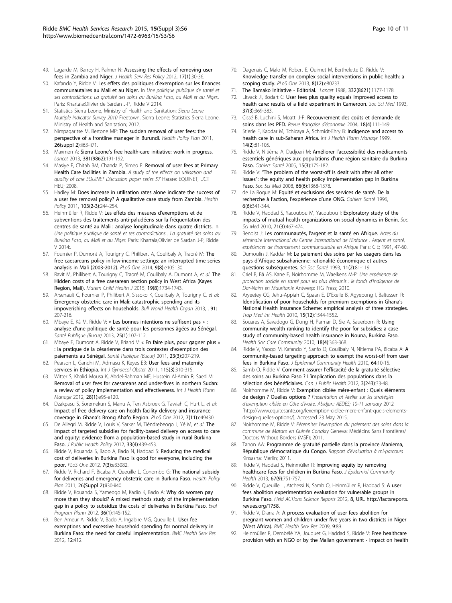- <span id="page-9-0"></span>49. Lagarde M, Barroy H, Palmer N: Assessing the effects of removing user fees in Zambia and Niger. J Health Serv Res Policy 2012, 17(1):30-36.
- 50. Kafando Y, Ridde V: Les effets des politiques d'exemption sur les finances communautaires au Mali et au Niger. In Une politique publique de santé et ses contradictions: La gratuité des soins au Burkina Faso, au Mali et au Niger.. Paris: Khartala;Olivier de Sardan J-P, Ridde V 2014.
- 51. Statistics Sierra Leone, Ministry of Health and Sanitation: Sierra Leone Multiple Indicator Survey 2010 Freetown, Sierra Leone: Statistics Sierra Leone, Ministry of Health and Sanitation; 2012.
- 52. Nimpagaritse M, Bertone MP: The sudden removal of user fees: the perspective of a frontline manager in Burundi. Health Policy Plan 2011, 26(suppl 2):ii63-ii71.
- 53. Maxmen A: Sierra Leone's free health-care initiative: work in progress. Lancet 2013, 381(9862):191-192.
- 54. Masiye F, Chitah BM, Chanda P, Simeo F: Removal of user fees at Primary Health Care facilities in Zambia. A study of the effects on utilisation and quality of care EQUINET Discussion paper series 57 Harare: EQUINET, UCT HEU; 2008.
- 55. Hadley M: Does increase in utilisation rates alone indicate the success of a user fee removal policy? A qualitative case study from Zambia. Health Policy 2011, 103(2-3):244-254.
- 56. Heinmüller R, Ridde V: Les effets des mesures d'exemptions et de subventions des traitements anti-paludéens sur la fréquentation des centres de santé au Mali : analyse longitudinale dans quatre districts. In Une politique publique de santé et ses contradictions : La gratuité des soins au Burkina Faso, au Mali et au Niger. Paris: Khartala;Olivier de Sardan J-P, Ridde V 2014:
- 57. Fournier P, Dumont A, Tourigny C, Philibert A, Coulibaly A, Traoré M: The free caesareans policy in low-income settings: an interrupted time series analysis in Mali (2003-2012). PLoS One 2014, 9(8):e105130.
- 58. Ravit M, Philibert A, Tourigny C, Traoré M, Coulibaly A, Dumont A, et al: The Hidden costs of a free caesarean section policy in West Africa (Kayes Region, Mali). Matern Child Health J 2015, 19(8):1734-1743.
- 59. Arsenault C, Fournier P, Philibert A, Sissoko K, Coulibaly A, Tourigny C, et al: Emergency obstetric care in Mali: catastrophic spending and its impoverishing effects on households. Bull World Health Organ 2013, , 91: 207-216.
- 60. Mbaye E, Kâ M, Ridde V: « Les bonnes intentions ne suffisent pas » : analyse d'une politique de santé pour les personnes âgées au Sénégal. Santé Publique (Bucur) 2013, 25(1):107-112.
- 61. Mbaye E, Dumont A, Ridde V, Briand V: « En faire plus, pour gagner plus » : la pratique de la césarienne dans trois contextes d'exemption des paiements au Sénégal. Santé Publique (Bucur) 2011, 23(3):207-219.
- 62. Pearson L, Gandhi M, Admasu K, Keyes EB: User fees and maternity services in Ethiopia. Int J Gynaecol Obstet 2011, 115(3):310-315.
- 63. Witter S, Khalid Mousa K, Abdel-Rahman ME, Hussein Al-Amin R, Saed M: Removal of user fees for caesareans and under-fives in northern Sudan: a review of policy implementation and effectiveness. Int J Health Plann Manage 2012, 28(1):e95-e120.
- 64. Dzakpasu S, Soremekun S, Manu A, Ten Asbroek G, Tawiah C, Hurt L, et al: Impact of free delivery care on health facility delivery and insurance coverage in Ghana's Brong Ahafo Region. PLoS One 2012, 7(11):e49430.
- 65. De Allegri M, Ridde V, Louis V, Sarker M, Tiéndrebeogo J, Yé M, et al: The impact of targeted subsidies for facility-based delivery on access to care and equity: evidence from a population-based study in rural Burkina Faso. J Public Health Policy 2012, 33(4):439-453.
- 66. Ridde V, Kouanda S, Bado A, Bado N, Haddad S: Reducing the medical cost of deliveries in Burkina Faso is good for everyone, including the poor. PLoS One 2012, 7(3):e33082.
- 67. Ridde V, Richard F, Bicaba A, Queuille L, Conombo G: The national subsidy for deliveries and emergency obstetric care in Burkina Faso. Health Policy Plan 2011, 26(Suppl 2):ii30-ii40.
- 68. Ridde V, Kouanda S, Yameogo M, Kadio K, Bado A: Why do women pay more than they should? A mixed methods study of the implementation gap in a policy to subsidize the costs of deliveries in Burkina Faso. Eval Program Plann 2012, 36(1):145-152.
- 69. Ben Ameur A, Ridde V, Bado A, Ingabire MG, Queuille L: User fee exemptions and excessive household spending for normal delivery in Burkina Faso: the need for careful implementation. BMC Health Serv Res 2012, 12:412.
- 70. Dagenais C, Malo M, Robert E, Ouimet M, Berthelette D, Ridde V: Knowledge transfer on complex social interventions in public health: a scoping study. PLoS One 2013, 8(12):e80233.
- 71. The Bamako Initiative Editorial. Lancet 1988, 332(8621):1177-1178.
- 72. Litvack JI, Bodart C: User fees plus quality equals improved access to health care: results of a field experiment in Cameroon. Soc Sci Med 1993, 37(3):369-383.
- 73. Cissé B, Luchini S, Moatti J-P: Recouvrement des coûts et demande de soins dans les PED. Revue française d'économie 2004, 18(4):111-149.
- 74. Stierle F, Kaddar M, Tchicaya A, Schmidt-Ehry B: Indigence and access to health care in sub-Saharan Africa. Int J Health Plann Manage 1999, 14(2):81-105.
- 75. Ridde V, Nitièma A, Dadjoari M: Améliorer l'accessibilité des médicaments essentiels génériques aux populations d'une région sanitaire du Burkina Faso. Cahiers Santé 2005, 15(3):175-182.
- 76. Ridde V: "The problem of the worst-off is dealt with after all other issues": the equity and health policy implementation gap in Burkina Faso. Soc Sci Med 2008, 66(6):1368-1378.
- 77. de La Roque M: Equité et exclusions des services de santé. De la recherche à l'action, l'expérience d'une ONG. Cahiers Santé 1996, 6(6):341-344.
- 78. Ridde V, Haddad S, Yacoubou M, Yacoubou I: Exploratory study of the impacts of mutual health organizations on social dynamics in Benin. Soc Sci Med 2010, 71(3):467-474.
- 79. Benoist J: Les communautés, l'argent et la santé en Afrique. Actes du séminaire international du Centre International de l'Enfance : Argent et santé, expériences de financement communautaire en Afrique Paris: CIE; 1991, 47-60.
- 80. Dumoulin J, Kaddar M: Le paiement des soins par les usagers dans les pays d'Afrique subsaharienne: rationalité économique et autres questions subséquentes. Sci Soc Santé 1993, 11(2):81-119.
- 81. Criel B, Bâ AS, Kane F, Noirhomme M, Waelkens M-P: Une expérience de protection sociale en santé pour les plus démunis : le fonds d'indigence de Dar-Naïm en Mauritanie Antwerp: ITG Press; 2010.
- 82. Aryeetey CG, Jehu-Appiah C, Spaan E, D'Exelle B, Agyepong I, Baltussen R: Identification of poor households for premium exemptions in Ghana's National Health Insurance Scheme: empirical analysis of three strategies. Trop Med Int Health 2010, 15(12):1544-1552.
- 83. Souares A, Savadogo G, Dong H, Parmar D, Sie A, Sauerborn R: Using community wealth ranking to identify the poor for subsidies: a case study of community-based health insurance in Nouna, Burkina Faso. Health Soc Care Community 2010, 18(4):363-368.
- 84. Ridde V, Yaogo M, Kafando Y, Sanfo O, Coulibaly N, Nitiema PA, Bicaba A: A community-based targeting approach to exempt the worst-off from user fees in Burkina Faso. J Epidemiol Community Health 2010, 64:10-15.
- 85. Samb O, Ridde V: Comment assurer l'efficacité de la gratuité sélective des soins au Burkina Faso ? L'implication des populations dans la sélection des bénéficiaires. Can J Public Health 2012, 3(243):33-48.
- 86. Noirhomme M, Ridde V: Exemption ciblée mère-enfant : Quels éléments de design ? Quelles options ? Presentation at Atelier sur les stratégies d'exemption ciblée en Côte d'Ivoire, Abidjan: AEDES; 10-11 January 2012 [[http://www.equitesante.org/lexemption-ciblee-mere-enfant-quels-elements](http://www.equitesante.org/lexemption-ciblee-mere-enfant-quels-elements-design-quelles-options/)[design-quelles-options/](http://www.equitesante.org/lexemption-ciblee-mere-enfant-quels-elements-design-quelles-options/)], Accessed 23 May 2015.
- 87. Noirhomme M, Ridde V: Pérenniser l'exemption du paiement des soins dans la commune de Matam en Guinée Conakry Geneva: Médécins Sans Frontières/ Doctors Without Borders (MSF); 2011.
- 88. Tanon AA: Programme de gratuité partielle dans la province Maniema, République démocratique du Congo. Rapport d'évaluation à mi-parcours Kinsasha: Merlin; 2011.
- 89. Ridde V, Haddad S, Heinmüller R: Improving equity by removing healthcare fees for children in Burkina Faso. J Epidemiol Community Health 2013, 67(9):751-757.
- 90. Ridde V, Queuille L, Atchessi N, Samb O, Heinmüller R, Haddad S: A user fees abolition experimentation evaluation for vulnerable groups in Burkina Faso. Field ACTions Science Reports 2012, 8, URL http://factsreports. revues.org/1758.
- 91. Ridde V, Diarra A: A process evaluation of user fees abolition for pregnant women and children under five years in two districts in Niger (West Africa). BMC Health Serv Res 2009, 9:89.
- 92. Heinmüller R, Dembélé YA, Jouquet G, Haddad S, Ridde V: Free healthcare provision with an NGO or by the Malian government - Impact on health